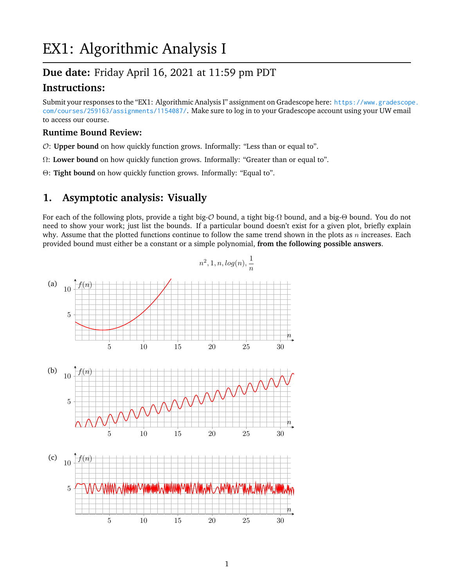# EX1: Algorithmic Analysis I

## **Due date:** Friday April 16, 2021 at 11:59 pm PDT

## **Instructions:**

Submit your responses to the "EX1: Algorithmic Analysis I" assignment on Gradescope here: [https://www.gradescop](https://www.gradescope.com/courses/259163/assignments/1154087/)e. [com/courses/259163/assignments/1154087/](https://www.gradescope.com/courses/259163/assignments/1154087/). Make sure to log in to your Gradescope account using your UW email to access our course.

#### **Runtime Bound Review:**

- O: **Upper bound** on how quickly function grows. Informally: "Less than or equal to".
- Ω: **Lower bound** on how quickly function grows. Informally: "Greater than or equal to".
- Θ: **Tight bound** on how quickly function grows. Informally: "Equal to".

### **1. Asymptotic analysis: Visually**

For each of the following plots, provide a tight big-O bound, a tight big-Ω bound, and a big-Θ bound. You do not need to show your work; just list the bounds. If a particular bound doesn't exist for a given plot, briefly explain why. Assume that the plotted functions continue to follow the same trend shown in the plots as  $n$  increases. Each provided bound must either be a constant or a simple polynomial, **from the following possible answers**.

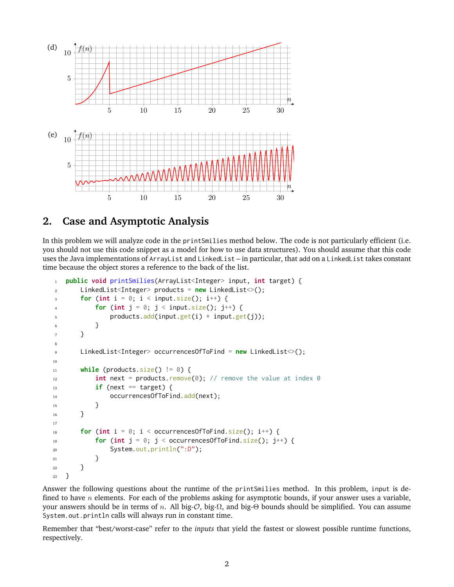

## **2. Case and Asymptotic Analysis**

In this problem we will analyze code in the printSmilies method below. The code is not particularly efficient (i.e. you should not use this code snippet as a model for how to use data structures). You should assume that this code uses the Java implementations of ArrayList and LinkedList – in particular, that add on a LinkedList takes constant time because the object stores a reference to the back of the list.

```
1 public void printSmilies(ArrayList<Integer> input, int target) {
2 LinkedList<Integer> products = new LinkedList<>();
\mathbf{f} for (int i = 0; i < input.size(); i++) {
4 for (int j = 0; j < input.size(); j^{++}) {
5 products.add(input.get(i) * input.get(j));
6 }
7 }
8
9 LinkedList<Integer> occurrencesOfToFind = new LinkedList<>();
10
11 while (products.size() != 0) {
\int_{12} int next = products.remove(0); // remove the value at index 0
\mathbf{if} (next == target) {
14 occurrencesOfToFind.add(next);
15 }
16 }
17
18 for (int i = 0; i < occurrences Of ToFind.size(); i^{++}) {
19 for (int j = 0; j < occurrences Of ToFind.size(); j^{++}) {
20 System.out.println(":D");
21 }
22 }
23 }
```
Answer the following questions about the runtime of the printSmilies method. In this problem, input is defined to have  $n$  elements. For each of the problems asking for asymptotic bounds, if your answer uses a variable, your answers should be in terms of *n*. All big-*O*, big-Ω, and big-Θ bounds should be simplified. You can assume System.out.println calls will always run in constant time.

Remember that "best/worst-case" refer to the *inputs* that yield the fastest or slowest possible runtime functions, respectively.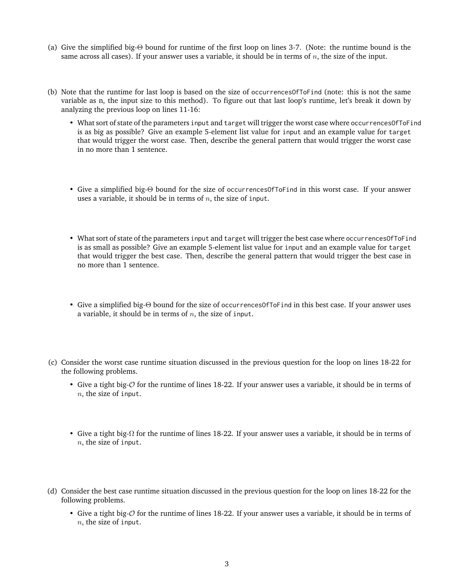- (a) Give the simplified big-Θ bound for runtime of the first loop on lines 3-7. (Note: the runtime bound is the same across all cases). If your answer uses a variable, it should be in terms of  $n$ , the size of the input.
- (b) Note that the runtime for last loop is based on the size of occurrencesOfToFind (note: this is not the same variable as n, the input size to this method). To figure out that last loop's runtime, let's break it down by analyzing the previous loop on lines 11-16:
	- What sort of state of the parameters input and target will trigger the worst case where occurrencesOfToFind is as big as possible? Give an example 5-element list value for input and an example value for target that would trigger the worst case. Then, describe the general pattern that would trigger the worst case in no more than 1 sentence.
	- Give a simplified big-Θ bound for the size of occurrencesOfToFind in this worst case. If your answer uses a variable, it should be in terms of  $n$ , the size of input.
	- What sort of state of the parameters input and target will trigger the best case where occurrences Of ToFind is as small as possible? Give an example 5-element list value for input and an example value for target that would trigger the best case. Then, describe the general pattern that would trigger the best case in no more than 1 sentence.
	- Give a simplified big-Θ bound for the size of occurrences of ToFind in this best case. If your answer uses a variable, it should be in terms of  $n$ , the size of input.
- (c) Consider the worst case runtime situation discussed in the previous question for the loop on lines 18-22 for the following problems.
	- Give a tight big- $\mathcal O$  for the runtime of lines 18-22. If your answer uses a variable, it should be in terms of  $n$ , the size of input.
	- Give a tight big- $\Omega$  for the runtime of lines 18-22. If your answer uses a variable, it should be in terms of  $n$ , the size of input.
- (d) Consider the best case runtime situation discussed in the previous question for the loop on lines 18-22 for the following problems.
	- Give a tight big-O for the runtime of lines 18-22. If your answer uses a variable, it should be in terms of  $n$ , the size of input.